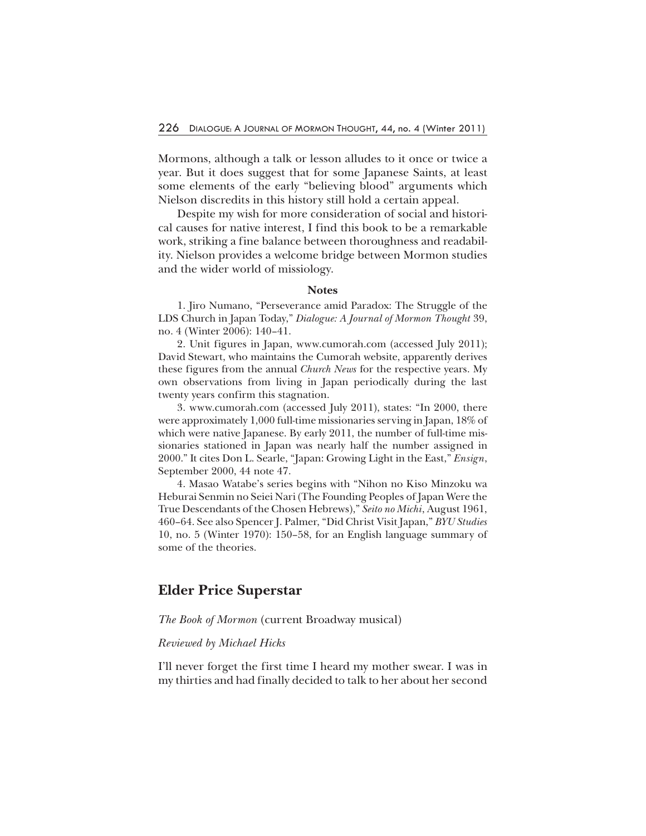Mormons, although a talk or lesson alludes to it once or twice a year. But it does suggest that for some Japanese Saints, at least some elements of the early "believing blood" arguments which Nielson discredits in this history still hold a certain appeal.

Despite my wish for more consideration of social and historical causes for native interest, I find this book to be a remarkable work, striking a fine balance between thoroughness and readability. Nielson provides a welcome bridge between Mormon studies and the wider world of missiology.

## **Notes**

1. Jiro Numano, "Perseverance amid Paradox: The Struggle of the LDS Church in Japan Today," *Dialogue: A Journal of Mormon Thought* 39, no. 4 (Winter 2006): 140–41.

2. Unit figures in Japan, www.cumorah.com (accessed July 2011); David Stewart, who maintains the Cumorah website, apparently derives these figures from the annual *Church News* for the respective years. My own observations from living in Japan periodically during the last twenty years confirm this stagnation.

3. www.cumorah.com (accessed July 2011), states: "In 2000, there were approximately 1,000 full-time missionaries serving in Japan, 18% of which were native Japanese. By early 2011, the number of full-time missionaries stationed in Japan was nearly half the number assigned in 2000." It cites Don L. Searle, "Japan: Growing Light in the East," *Ensign*, September 2000, 44 note 47.

4. Masao Watabe's series begins with "Nihon no Kiso Minzoku wa Heburai Senmin no Seiei Nari (The Founding Peoples of Japan Were the True Descendants of the Chosen Hebrews)," *Seito no Michi*, August 1961, 460–64. See also Spencer J. Palmer, "Did Christ Visit Japan," *BYU Studies* 10, no. 5 (Winter 1970): 150–58, for an English language summary of some of the theories.

## **Elder Price Superstar**

*The Book of Mormon* (current Broadway musical)

## *Reviewed by Michael Hicks*

I'll never forget the first time I heard my mother swear. I was in my thirties and had finally decided to talk to her about her second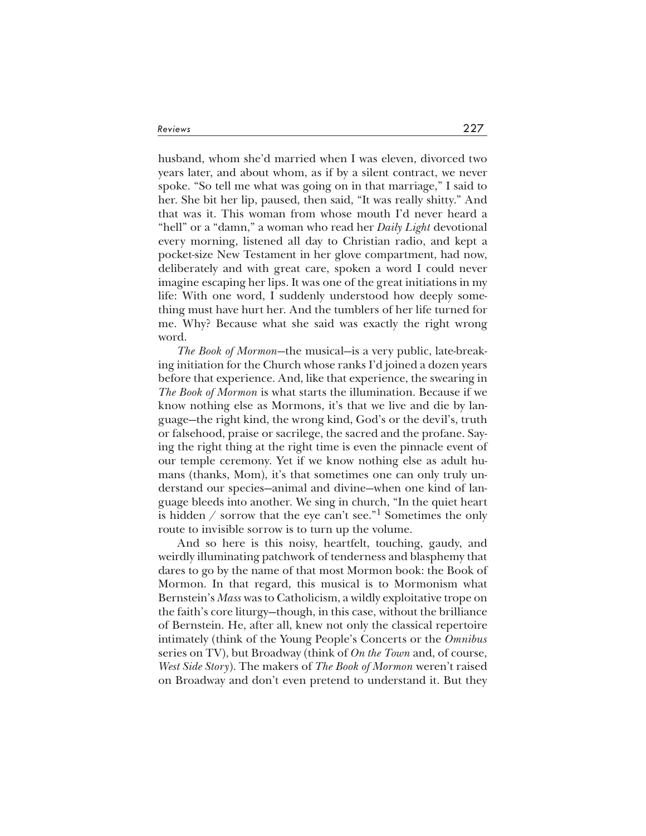husband, whom she'd married when I was eleven, divorced two years later, and about whom, as if by a silent contract, we never spoke. "So tell me what was going on in that marriage," I said to her. She bit her lip, paused, then said, "It was really shitty." And that was it. This woman from whose mouth I'd never heard a "hell" or a "damn," a woman who read her *Daily Light* devotional every morning, listened all day to Christian radio, and kept a pocket-size New Testament in her glove compartment, had now, deliberately and with great care, spoken a word I could never imagine escaping her lips. It was one of the great initiations in my life: With one word, I suddenly understood how deeply something must have hurt her. And the tumblers of her life turned for me. Why? Because what she said was exactly the right wrong word.

*The Book of Mormon*—the musical—is a very public, late-breaking initiation for the Church whose ranks I'd joined a dozen years before that experience. And, like that experience, the swearing in *The Book of Mormon* is what starts the illumination. Because if we know nothing else as Mormons, it's that we live and die by language—the right kind, the wrong kind, God's or the devil's, truth or falsehood, praise or sacrilege, the sacred and the profane. Saying the right thing at the right time is even the pinnacle event of our temple ceremony. Yet if we know nothing else as adult humans (thanks, Mom), it's that sometimes one can only truly understand our species—animal and divine—when one kind of language bleeds into another. We sing in church, "In the quiet heart is hidden  $/$  sorrow that the eye can't see."<sup>1</sup> Sometimes the only route to invisible sorrow is to turn up the volume.

And so here is this noisy, heartfelt, touching, gaudy, and weirdly illuminating patchwork of tenderness and blasphemy that dares to go by the name of that most Mormon book: the Book of Mormon. In that regard, this musical is to Mormonism what Bernstein's *Mass* was to Catholicism, a wildly exploitative trope on the faith's core liturgy—though, in this case, without the brilliance of Bernstein. He, after all, knew not only the classical repertoire intimately (think of the Young People's Concerts or the *Omnibus* series on TV), but Broadway (think of *On the Town* and, of course, *West Side Story*). The makers of *The Book of Mormon* weren't raised on Broadway and don't even pretend to understand it. But they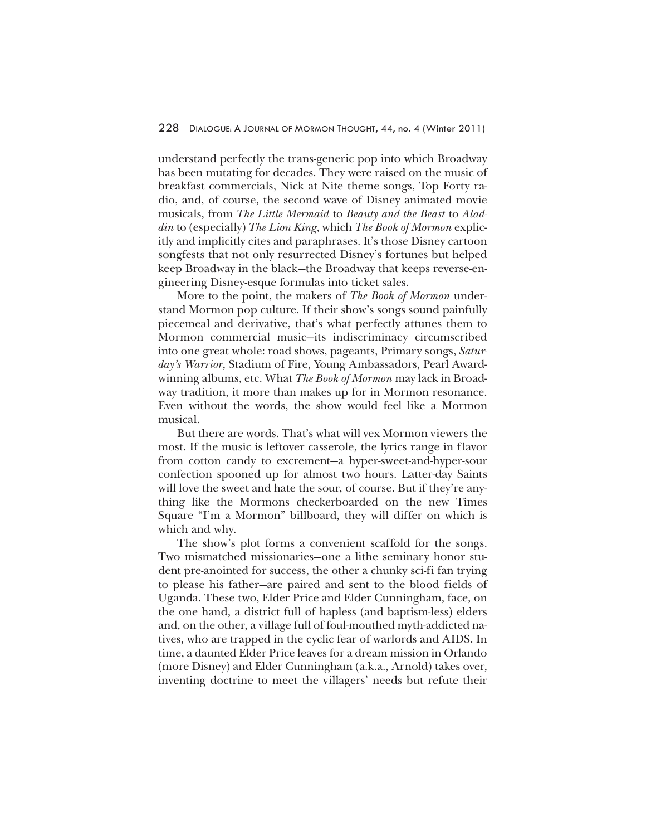understand perfectly the trans-generic pop into which Broadway has been mutating for decades. They were raised on the music of breakfast commercials, Nick at Nite theme songs, Top Forty radio, and, of course, the second wave of Disney animated movie musicals, from *The Little Mermaid* to *Beauty and the Beast* to *Aladdin* to (especially) *The Lion King*, which *The Book of Mormon* explicitly and implicitly cites and paraphrases. It's those Disney cartoon songfests that not only resurrected Disney's fortunes but helped keep Broadway in the black—the Broadway that keeps reverse-engineering Disney-esque formulas into ticket sales.

More to the point, the makers of *The Book of Mormon* understand Mormon pop culture. If their show's songs sound painfully piecemeal and derivative, that's what perfectly attunes them to Mormon commercial music—its indiscriminacy circumscribed into one great whole: road shows, pageants, Primary songs, *Saturday's Warrior*, Stadium of Fire, Young Ambassadors, Pearl Awardwinning albums, etc. What *The Book of Mormon* may lack in Broadway tradition, it more than makes up for in Mormon resonance. Even without the words, the show would feel like a Mormon musical.

But there are words. That's what will vex Mormon viewers the most. If the music is leftover casserole, the lyrics range in flavor from cotton candy to excrement—a hyper-sweet-and-hyper-sour confection spooned up for almost two hours. Latter-day Saints will love the sweet and hate the sour, of course. But if they're anything like the Mormons checkerboarded on the new Times Square "I'm a Mormon" billboard, they will differ on which is which and why.

The show's plot forms a convenient scaffold for the songs. Two mismatched missionaries—one a lithe seminary honor student pre-anointed for success, the other a chunky sci-fi fan trying to please his father—are paired and sent to the blood fields of Uganda. These two, Elder Price and Elder Cunningham, face, on the one hand, a district full of hapless (and baptism-less) elders and, on the other, a village full of foul-mouthed myth-addicted natives, who are trapped in the cyclic fear of warlords and AIDS. In time, a daunted Elder Price leaves for a dream mission in Orlando (more Disney) and Elder Cunningham (a.k.a., Arnold) takes over, inventing doctrine to meet the villagers' needs but refute their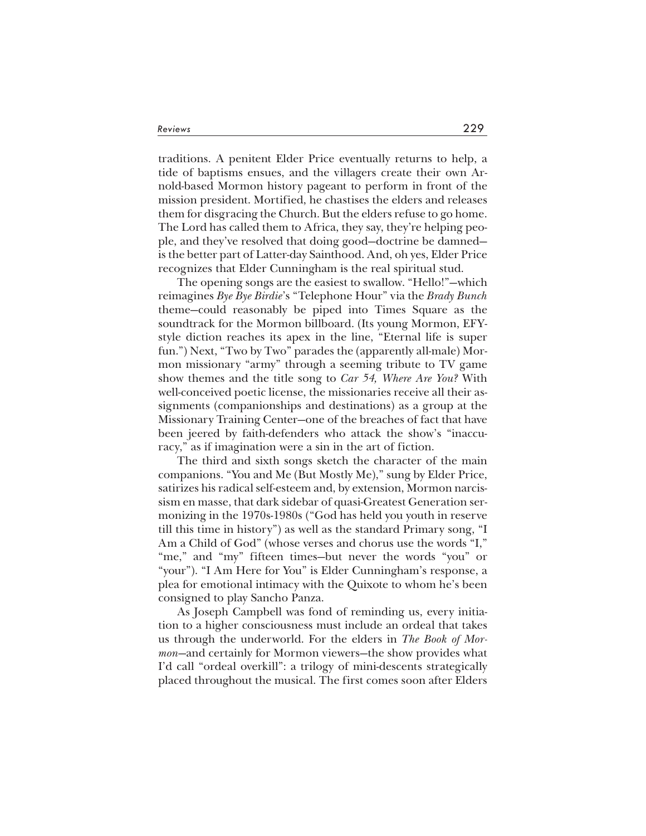traditions. A penitent Elder Price eventually returns to help, a tide of baptisms ensues, and the villagers create their own Arnold-based Mormon history pageant to perform in front of the mission president. Mortified, he chastises the elders and releases them for disgracing the Church. But the elders refuse to go home. The Lord has called them to Africa, they say, they're helping people, and they've resolved that doing good—doctrine be damned is the better part of Latter-day Sainthood. And, oh yes, Elder Price recognizes that Elder Cunningham is the real spiritual stud.

The opening songs are the easiest to swallow. "Hello!"—which reimagines *Bye Bye Birdie*'s "Telephone Hour" via the *Brady Bunch* theme—could reasonably be piped into Times Square as the soundtrack for the Mormon billboard. (Its young Mormon, EFYstyle diction reaches its apex in the line, "Eternal life is super fun.") Next, "Two by Two" parades the (apparently all-male) Mormon missionary "army" through a seeming tribute to TV game show themes and the title song to *Car 54, Where Are You?* With well-conceived poetic license, the missionaries receive all their assignments (companionships and destinations) as a group at the Missionary Training Center—one of the breaches of fact that have been jeered by faith-defenders who attack the show's "inaccuracy," as if imagination were a sin in the art of fiction.

The third and sixth songs sketch the character of the main companions. "You and Me (But Mostly Me)," sung by Elder Price, satirizes his radical self-esteem and, by extension, Mormon narcissism en masse, that dark sidebar of quasi-Greatest Generation sermonizing in the 1970s-1980s ("God has held you youth in reserve till this time in history") as well as the standard Primary song, "I Am a Child of God" (whose verses and chorus use the words "I," "me," and "my" fifteen times—but never the words "you" or "your"). "I Am Here for You" is Elder Cunningham's response, a plea for emotional intimacy with the Quixote to whom he's been consigned to play Sancho Panza.

As Joseph Campbell was fond of reminding us, every initiation to a higher consciousness must include an ordeal that takes us through the underworld. For the elders in *The Book of Mormon*—and certainly for Mormon viewers—the show provides what I'd call "ordeal overkill": a trilogy of mini-descents strategically placed throughout the musical. The first comes soon after Elders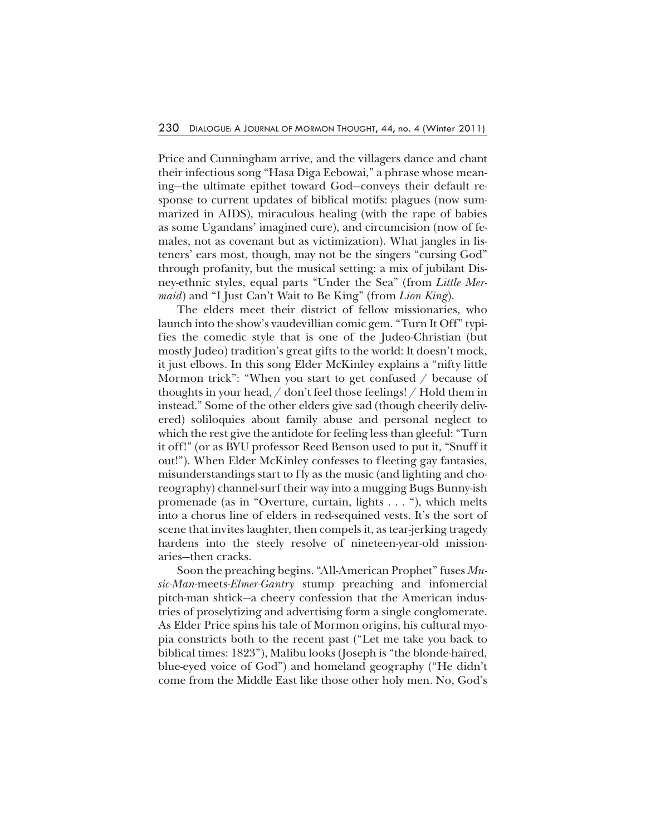Price and Cunningham arrive, and the villagers dance and chant their infectious song "Hasa Diga Eebowai," a phrase whose meaning—the ultimate epithet toward God—conveys their default response to current updates of biblical motifs: plagues (now summarized in AIDS), miraculous healing (with the rape of babies as some Ugandans' imagined cure), and circumcision (now of females, not as covenant but as victimization). What jangles in listeners' ears most, though, may not be the singers "cursing God" through profanity, but the musical setting: a mix of jubilant Disney-ethnic styles, equal parts "Under the Sea" (from *Little Mermaid*) and "I Just Can't Wait to Be King" (from *Lion King*).

The elders meet their district of fellow missionaries, who launch into the show's vaudevillian comic gem. "Turn It Off" typifies the comedic style that is one of the Judeo-Christian (but mostly Judeo) tradition's great gifts to the world: It doesn't mock, it just elbows. In this song Elder McKinley explains a "nifty little Mormon trick": "When you start to get confused / because of thoughts in your head, / don't feel those feelings! / Hold them in instead." Some of the other elders give sad (though cheerily delivered) soliloquies about family abuse and personal neglect to which the rest give the antidote for feeling less than gleeful: "Turn it off!" (or as BYU professor Reed Benson used to put it, "Snuff it out!"). When Elder McKinley confesses to fleeting gay fantasies, misunderstandings start to fly as the music (and lighting and choreography) channel-surf their way into a mugging Bugs Bunny-ish promenade (as in "Overture, curtain, lights . . . "), which melts into a chorus line of elders in red-sequined vests. It's the sort of scene that invites laughter, then compels it, as tear-jerking tragedy hardens into the steely resolve of nineteen-year-old missionaries—then cracks.

Soon the preaching begins. "All-American Prophet" fuses *Music-Man*-meets-*Elmer-Gantry* stump preaching and infomercial pitch-man shtick—a cheery confession that the American industries of proselytizing and advertising form a single conglomerate. As Elder Price spins his tale of Mormon origins, his cultural myopia constricts both to the recent past ("Let me take you back to biblical times: 1823"), Malibu looks (Joseph is "the blonde-haired, blue-eyed voice of God") and homeland geography ("He didn't come from the Middle East like those other holy men. No, God's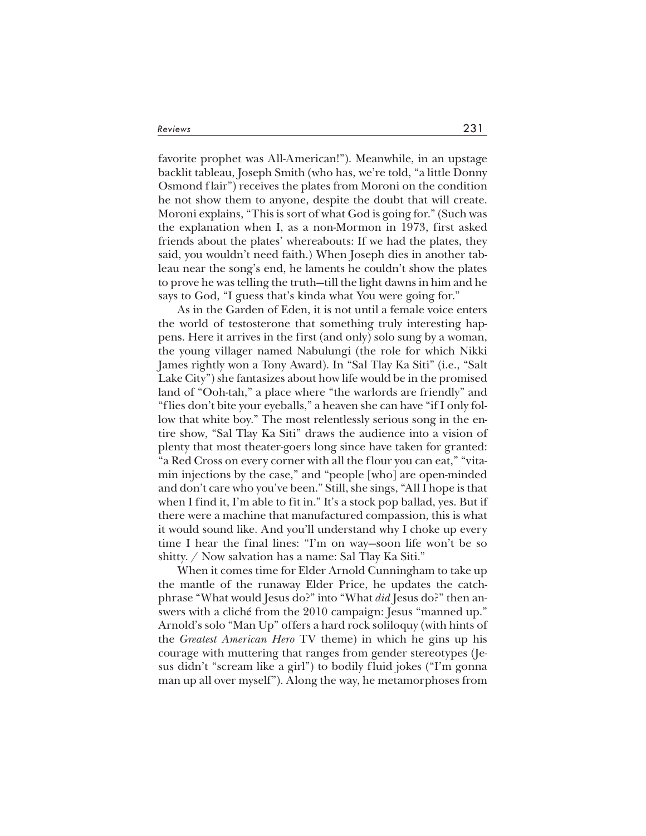favorite prophet was All-American!"). Meanwhile, in an upstage backlit tableau, Joseph Smith (who has, we're told, "a little Donny Osmond flair") receives the plates from Moroni on the condition he not show them to anyone, despite the doubt that will create. Moroni explains, "This is sort of what God is going for." (Such was the explanation when I, as a non-Mormon in 1973, first asked friends about the plates' whereabouts: If we had the plates, they said, you wouldn't need faith.) When Joseph dies in another tableau near the song's end, he laments he couldn't show the plates to prove he was telling the truth—till the light dawns in him and he says to God, "I guess that's kinda what You were going for."

As in the Garden of Eden, it is not until a female voice enters the world of testosterone that something truly interesting happens. Here it arrives in the first (and only) solo sung by a woman, the young villager named Nabulungi (the role for which Nikki James rightly won a Tony Award). In "Sal Tlay Ka Siti" (i.e., "Salt Lake City") she fantasizes about how life would be in the promised land of "Ooh-tah," a place where "the warlords are friendly" and "flies don't bite your eyeballs," a heaven she can have "if I only follow that white boy." The most relentlessly serious song in the entire show, "Sal Tlay Ka Siti" draws the audience into a vision of plenty that most theater-goers long since have taken for granted: "a Red Cross on every corner with all the flour you can eat," "vitamin injections by the case," and "people [who] are open-minded and don't care who you've been." Still, she sings, "All I hope is that when I find it, I'm able to fit in." It's a stock pop ballad, yes. But if there were a machine that manufactured compassion, this is what it would sound like. And you'll understand why I choke up every time I hear the final lines: "I'm on way—soon life won't be so shitty. / Now salvation has a name: Sal Tlay Ka Siti."

When it comes time for Elder Arnold Cunningham to take up the mantle of the runaway Elder Price, he updates the catchphrase "What would Jesus do?" into "What *did* Jesus do?" then answers with a cliché from the 2010 campaign: Jesus "manned up." Arnold's solo "Man Up" offers a hard rock soliloquy (with hints of the *Greatest American Hero* TV theme) in which he gins up his courage with muttering that ranges from gender stereotypes (Jesus didn't "scream like a girl") to bodily fluid jokes ("I'm gonna man up all over myself"). Along the way, he metamorphoses from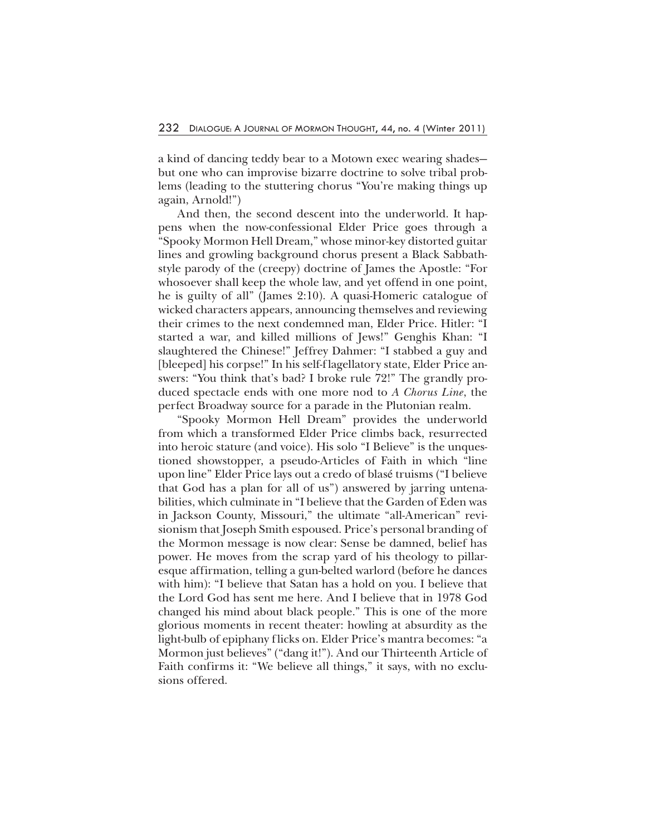a kind of dancing teddy bear to a Motown exec wearing shades but one who can improvise bizarre doctrine to solve tribal problems (leading to the stuttering chorus "You're making things up again, Arnold!")

And then, the second descent into the underworld. It happens when the now-confessional Elder Price goes through a "Spooky Mormon Hell Dream," whose minor-key distorted guitar lines and growling background chorus present a Black Sabbathstyle parody of the (creepy) doctrine of James the Apostle: "For whosoever shall keep the whole law, and yet offend in one point, he is guilty of all" (James 2:10). A quasi-Homeric catalogue of wicked characters appears, announcing themselves and reviewing their crimes to the next condemned man, Elder Price. Hitler: "I started a war, and killed millions of Jews!" Genghis Khan: "I slaughtered the Chinese!" Jeffrey Dahmer: "I stabbed a guy and [bleeped] his corpse!" In his self-flagellatory state, Elder Price answers: "You think that's bad? I broke rule 72!" The grandly produced spectacle ends with one more nod to *A Chorus Line*, the perfect Broadway source for a parade in the Plutonian realm.

"Spooky Mormon Hell Dream" provides the underworld from which a transformed Elder Price climbs back, resurrected into heroic stature (and voice). His solo "I Believe" is the unquestioned showstopper, a pseudo-Articles of Faith in which "line upon line" Elder Price lays out a credo of blasé truisms ("I believe that God has a plan for all of us") answered by jarring untenabilities, which culminate in "I believe that the Garden of Eden was in Jackson County, Missouri," the ultimate "all-American" revisionism that Joseph Smith espoused. Price's personal branding of the Mormon message is now clear: Sense be damned, belief has power. He moves from the scrap yard of his theology to pillaresque affirmation, telling a gun-belted warlord (before he dances with him): "I believe that Satan has a hold on you. I believe that the Lord God has sent me here. And I believe that in 1978 God changed his mind about black people." This is one of the more glorious moments in recent theater: howling at absurdity as the light-bulb of epiphany flicks on. Elder Price's mantra becomes: "a Mormon just believes" ("dang it!"). And our Thirteenth Article of Faith confirms it: "We believe all things," it says, with no exclusions offered.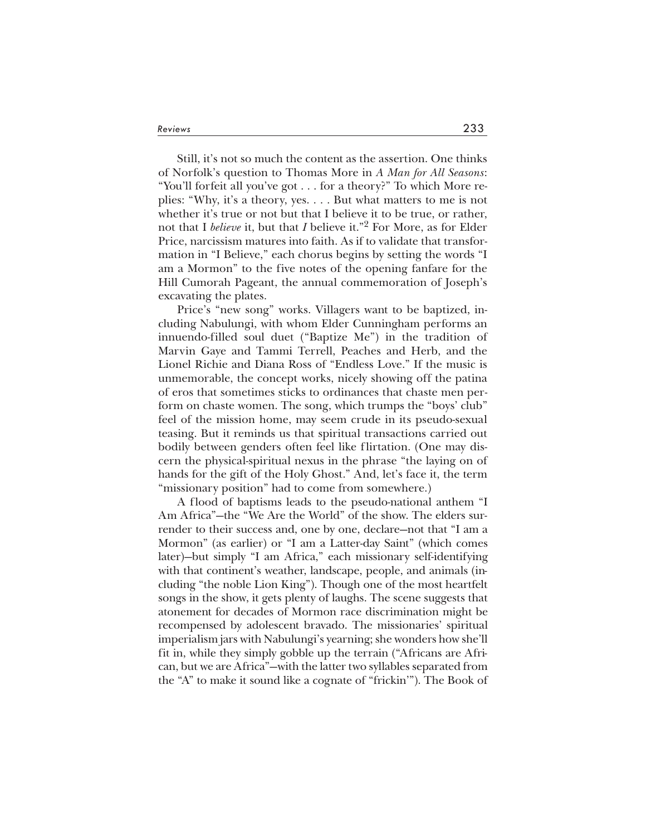Still, it's not so much the content as the assertion. One thinks of Norfolk's question to Thomas More in *A Man for All Seasons*: "You'll forfeit all you've got . . . for a theory?" To which More replies: "Why, it's a theory, yes. . . . But what matters to me is not whether it's true or not but that I believe it to be true, or rather, not that I *believe* it, but that *I* believe it."2 For More, as for Elder Price, narcissism matures into faith. As if to validate that transformation in "I Believe," each chorus begins by setting the words "I am a Mormon" to the five notes of the opening fanfare for the Hill Cumorah Pageant, the annual commemoration of Joseph's excavating the plates.

Price's "new song" works. Villagers want to be baptized, including Nabulungi, with whom Elder Cunningham performs an innuendo-filled soul duet ("Baptize Me") in the tradition of Marvin Gaye and Tammi Terrell, Peaches and Herb, and the Lionel Richie and Diana Ross of "Endless Love." If the music is unmemorable, the concept works, nicely showing off the patina of eros that sometimes sticks to ordinances that chaste men perform on chaste women. The song, which trumps the "boys' club" feel of the mission home, may seem crude in its pseudo-sexual teasing. But it reminds us that spiritual transactions carried out bodily between genders often feel like flirtation. (One may discern the physical-spiritual nexus in the phrase "the laying on of hands for the gift of the Holy Ghost." And, let's face it, the term "missionary position" had to come from somewhere.)

A flood of baptisms leads to the pseudo-national anthem "I Am Africa"—the "We Are the World" of the show. The elders surrender to their success and, one by one, declare—not that "I am a Mormon" (as earlier) or "I am a Latter-day Saint" (which comes later)—but simply "I am Africa," each missionary self-identifying with that continent's weather, landscape, people, and animals (including "the noble Lion King"). Though one of the most heartfelt songs in the show, it gets plenty of laughs. The scene suggests that atonement for decades of Mormon race discrimination might be recompensed by adolescent bravado. The missionaries' spiritual imperialism jars with Nabulungi's yearning; she wonders how she'll fit in, while they simply gobble up the terrain ("Africans are African, but we are Africa"—with the latter two syllables separated from the "A" to make it sound like a cognate of "frickin'"). The Book of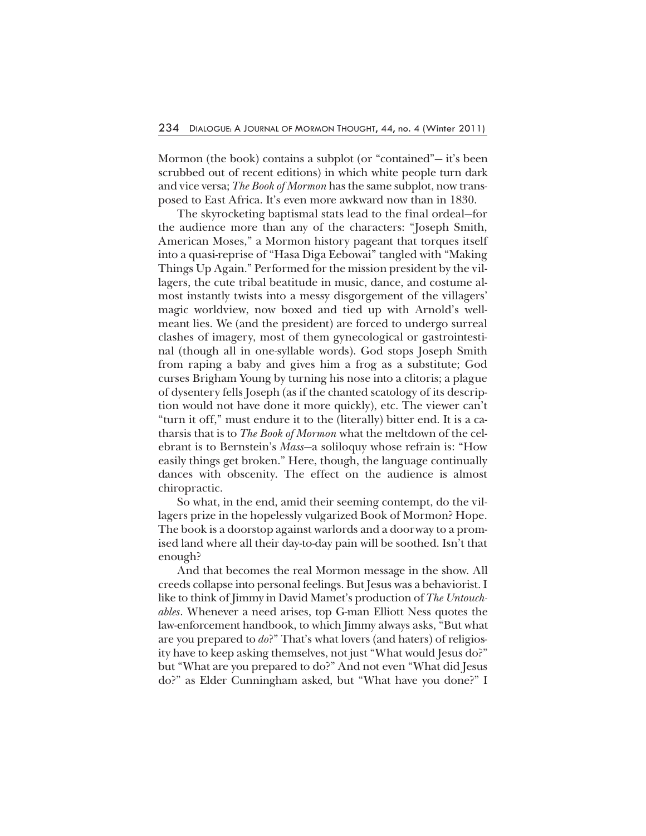Mormon (the book) contains a subplot (or "contained"— it's been scrubbed out of recent editions) in which white people turn dark and vice versa; *The Book of Mormon* has the same subplot, now transposed to East Africa. It's even more awkward now than in 1830.

The skyrocketing baptismal stats lead to the final ordeal—for the audience more than any of the characters: "Joseph Smith, American Moses," a Mormon history pageant that torques itself into a quasi-reprise of "Hasa Diga Eebowai" tangled with "Making Things Up Again." Performed for the mission president by the villagers, the cute tribal beatitude in music, dance, and costume almost instantly twists into a messy disgorgement of the villagers' magic worldview, now boxed and tied up with Arnold's wellmeant lies. We (and the president) are forced to undergo surreal clashes of imagery, most of them gynecological or gastrointestinal (though all in one-syllable words). God stops Joseph Smith from raping a baby and gives him a frog as a substitute; God curses Brigham Young by turning his nose into a clitoris; a plague of dysentery fells Joseph (as if the chanted scatology of its description would not have done it more quickly), etc. The viewer can't "turn it off," must endure it to the (literally) bitter end. It is a catharsis that is to *The Book of Mormon* what the meltdown of the celebrant is to Bernstein's *Mass*—a soliloquy whose refrain is: "How easily things get broken." Here, though, the language continually dances with obscenity. The effect on the audience is almost chiropractic.

So what, in the end, amid their seeming contempt, do the villagers prize in the hopelessly vulgarized Book of Mormon? Hope. The book is a doorstop against warlords and a doorway to a promised land where all their day-to-day pain will be soothed. Isn't that enough?

And that becomes the real Mormon message in the show. All creeds collapse into personal feelings. But Jesus was a behaviorist. I like to think of Jimmy in David Mamet's production of*The Untouchables*. Whenever a need arises, top G-man Elliott Ness quotes the law-enforcement handbook, to which Jimmy always asks, "But what are you prepared to *do*?" That's what lovers (and haters) of religiosity have to keep asking themselves, not just "What would Jesus do?" but "What are you prepared to do?" And not even "What did Jesus do?" as Elder Cunningham asked, but "What have you done?" I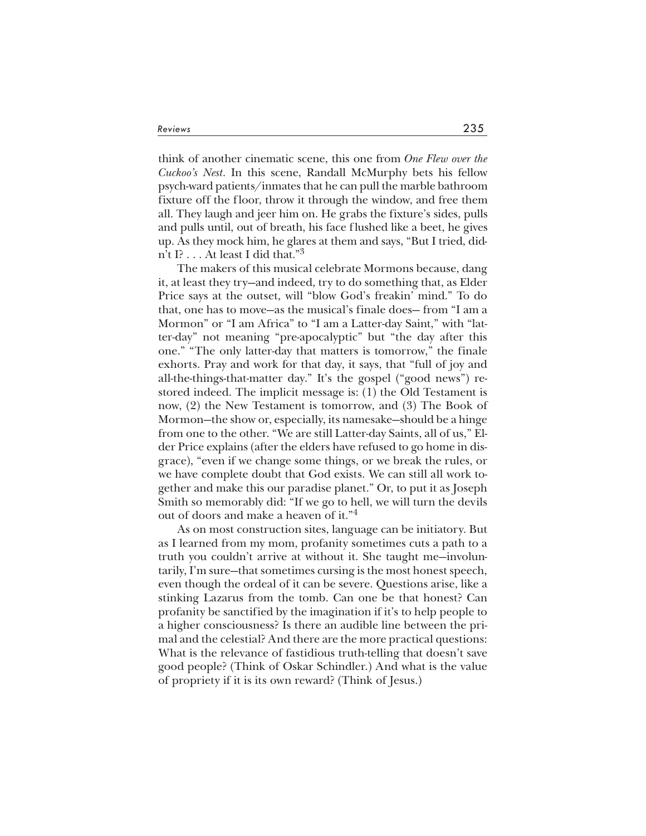think of another cinematic scene, this one from *One Flew over the Cuckoo's Nest*. In this scene, Randall McMurphy bets his fellow psych-ward patients/inmates that he can pull the marble bathroom fixture off the floor, throw it through the window, and free them all. They laugh and jeer him on. He grabs the fixture's sides, pulls and pulls until, out of breath, his face flushed like a beet, he gives up. As they mock him, he glares at them and says, "But I tried, didn't I? . . . At least I did that."3

The makers of this musical celebrate Mormons because, dang it, at least they try—and indeed, try to do something that, as Elder Price says at the outset, will "blow God's freakin' mind." To do that, one has to move—as the musical's finale does— from "I am a Mormon" or "I am Africa" to "I am a Latter-day Saint," with "latter-day" not meaning "pre-apocalyptic" but "the day after this one." "The only latter-day that matters is tomorrow," the finale exhorts. Pray and work for that day, it says, that "full of joy and all-the-things-that-matter day." It's the gospel ("good news") restored indeed. The implicit message is: (1) the Old Testament is now, (2) the New Testament is tomorrow, and (3) The Book of Mormon—the show or, especially, its namesake—should be a hinge from one to the other. "We are still Latter-day Saints, all of us," Elder Price explains (after the elders have refused to go home in disgrace), "even if we change some things, or we break the rules, or we have complete doubt that God exists. We can still all work together and make this our paradise planet." Or, to put it as Joseph Smith so memorably did: "If we go to hell, we will turn the devils out of doors and make a heaven of it."4

As on most construction sites, language can be initiatory. But as I learned from my mom, profanity sometimes cuts a path to a truth you couldn't arrive at without it. She taught me—involuntarily, I'm sure—that sometimes cursing is the most honest speech, even though the ordeal of it can be severe. Questions arise, like a stinking Lazarus from the tomb. Can one be that honest? Can profanity be sanctified by the imagination if it's to help people to a higher consciousness? Is there an audible line between the primal and the celestial? And there are the more practical questions: What is the relevance of fastidious truth-telling that doesn't save good people? (Think of Oskar Schindler.) And what is the value of propriety if it is its own reward? (Think of Jesus.)